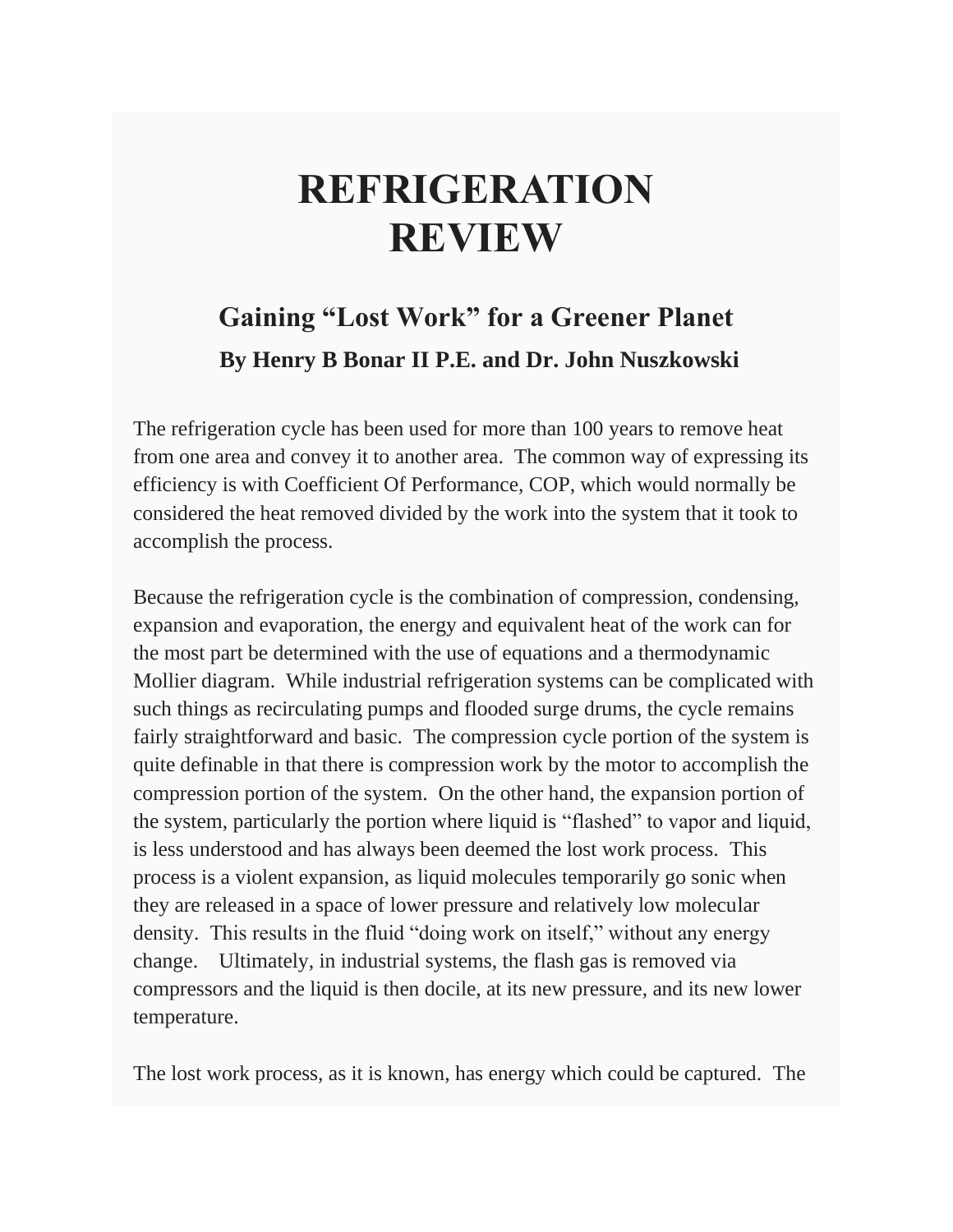# **REFRIGERATION REVIEW**

## **Gaining "Lost Work" for a Greener Planet By Henry B Bonar II P.E. and Dr. John Nuszkowski**

The refrigeration cycle has been used for more than 100 years to remove heat from one area and convey it to another area. The common way of expressing its efficiency is with Coefficient Of Performance, COP, which would normally be considered the heat removed divided by the work into the system that it took to accomplish the process.

Because the refrigeration cycle is the combination of compression, condensing, expansion and evaporation, the energy and equivalent heat of the work can for the most part be determined with the use of equations and a thermodynamic Mollier diagram. While industrial refrigeration systems can be complicated with such things as recirculating pumps and flooded surge drums, the cycle remains fairly straightforward and basic. The compression cycle portion of the system is quite definable in that there is compression work by the motor to accomplish the compression portion of the system. On the other hand, the expansion portion of the system, particularly the portion where liquid is "flashed" to vapor and liquid, is less understood and has always been deemed the lost work process. This process is a violent expansion, as liquid molecules temporarily go sonic when they are released in a space of lower pressure and relatively low molecular density. This results in the fluid "doing work on itself," without any energy change. Ultimately, in industrial systems, the flash gas is removed via compressors and the liquid is then docile, at its new pressure, and its new lower temperature.

The lost work process, as it is known, has energy which could be captured. The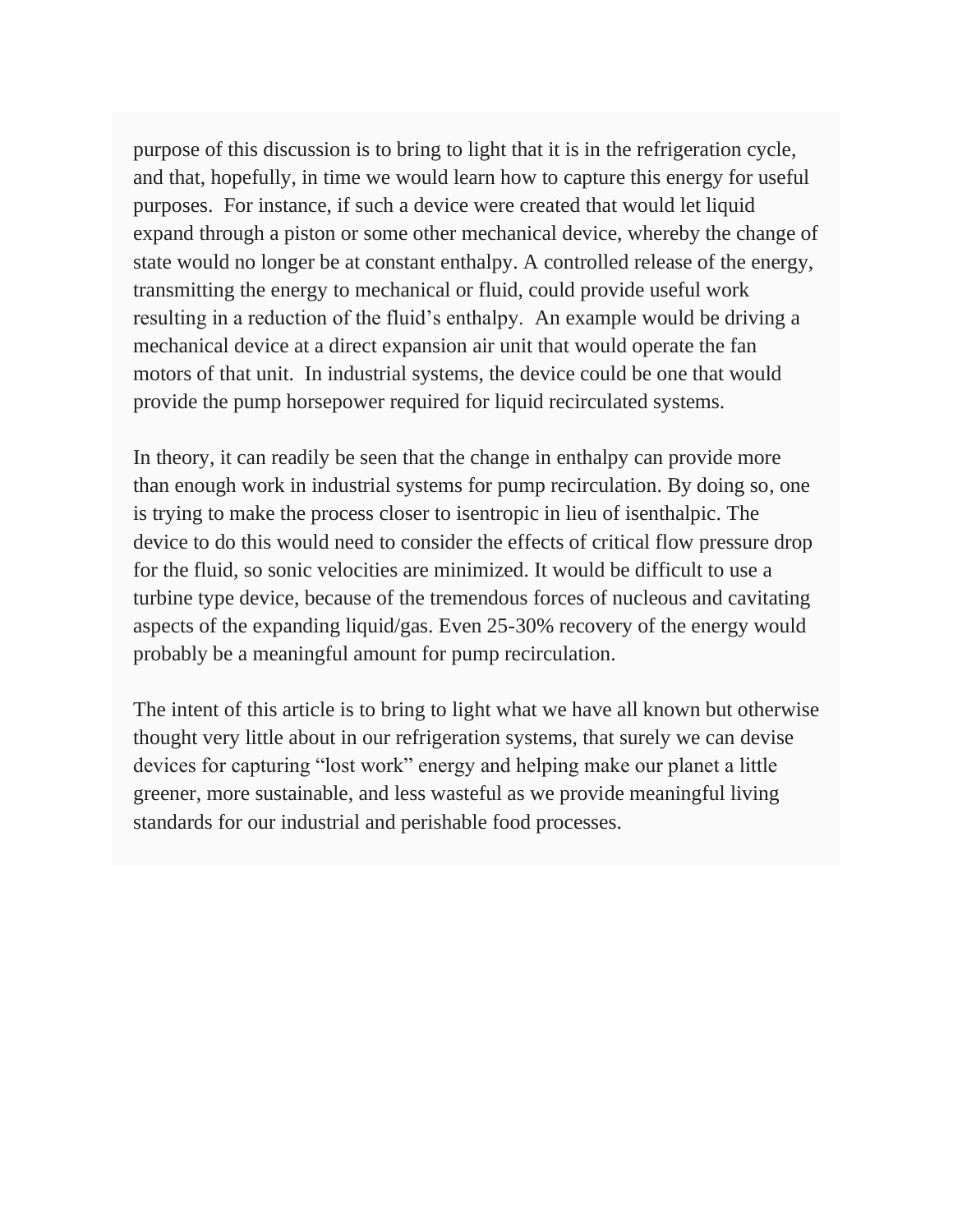purpose of this discussion is to bring to light that it is in the refrigeration cycle, and that, hopefully, in time we would learn how to capture this energy for useful purposes. For instance, if such a device were created that would let liquid expand through a piston or some other mechanical device, whereby the change of state would no longer be at constant enthalpy. A controlled release of the energy, transmitting the energy to mechanical or fluid, could provide useful work resulting in a reduction of the fluid's enthalpy. An example would be driving a mechanical device at a direct expansion air unit that would operate the fan motors of that unit. In industrial systems, the device could be one that would provide the pump horsepower required for liquid recirculated systems.

In theory, it can readily be seen that the change in enthalpy can provide more than enough work in industrial systems for pump recirculation. By doing so, one is trying to make the process closer to isentropic in lieu of isenthalpic. The device to do this would need to consider the effects of critical flow pressure drop for the fluid, so sonic velocities are minimized. It would be difficult to use a turbine type device, because of the tremendous forces of nucleous and cavitating aspects of the expanding liquid/gas. Even 25-30% recovery of the energy would probably be a meaningful amount for pump recirculation.

The intent of this article is to bring to light what we have all known but otherwise thought very little about in our refrigeration systems, that surely we can devise devices for capturing "lost work" energy and helping make our planet a little greener, more sustainable, and less wasteful as we provide meaningful living standards for our industrial and perishable food processes.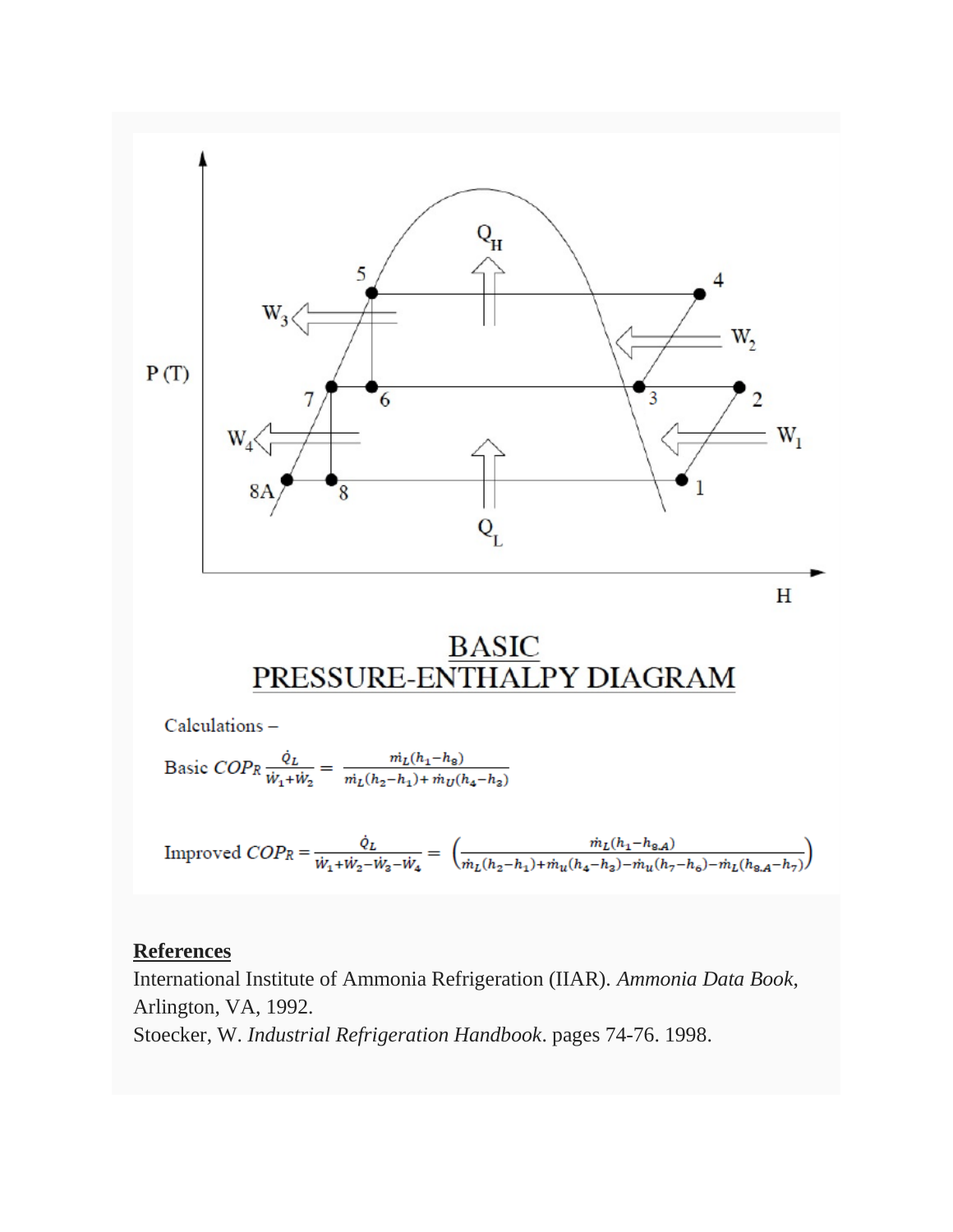

#### **References**

International Institute of Ammonia Refrigeration (IIAR). *Ammonia Data Book*, Arlington, VA, 1992.

Stoecker, W. *Industrial Refrigeration Handbook*. pages 74-76. 1998.